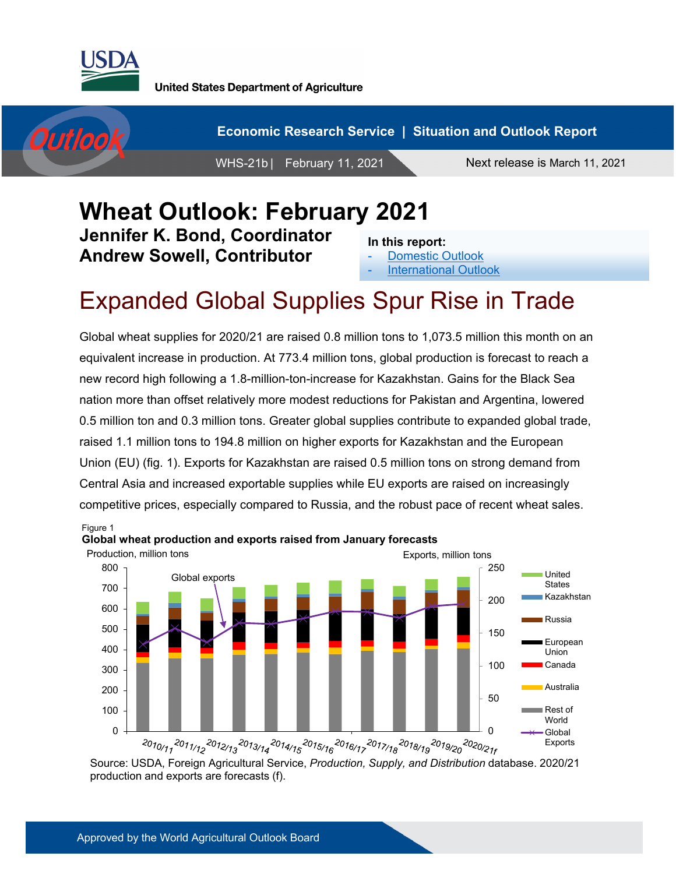



**Economic Research Service | Situation and Outlook Report**

WHS-21b | February 11, 2021 Next release is March 11, 2021

#### **Wheat Outlook: February 2021 Jennifer K. Bond, Coordinator Andrew Sowell, Contributor In this report:**

[Domestic Outlook](#page-1-0) **[International Outlook](#page-6-0)** 

# Expanded Global Supplies Spur Rise in Trade

Global wheat supplies for 2020/21 are raised 0.8 million tons to 1,073.5 million this month on an equivalent increase in production. At 773.4 million tons, global production is forecast to reach a new record high following a 1.8-million-ton-increase for Kazakhstan. Gains for the Black Sea nation more than offset relatively more modest reductions for Pakistan and Argentina, lowered 0.5 million ton and 0.3 million tons. Greater global supplies contribute to expanded global trade, raised 1.1 million tons to 194.8 million on higher exports for Kazakhstan and the European Union (EU) (fig. 1). Exports for Kazakhstan are raised 0.5 million tons on strong demand from Central Asia and increased exportable supplies while EU exports are raised on increasingly competitive prices, especially compared to Russia, and the robust pace of recent wheat sales.



Source: USDA, Foreign Agricultural Service, *Production, Supply, and Distribution* database. 2020/21 production and exports are forecasts (f).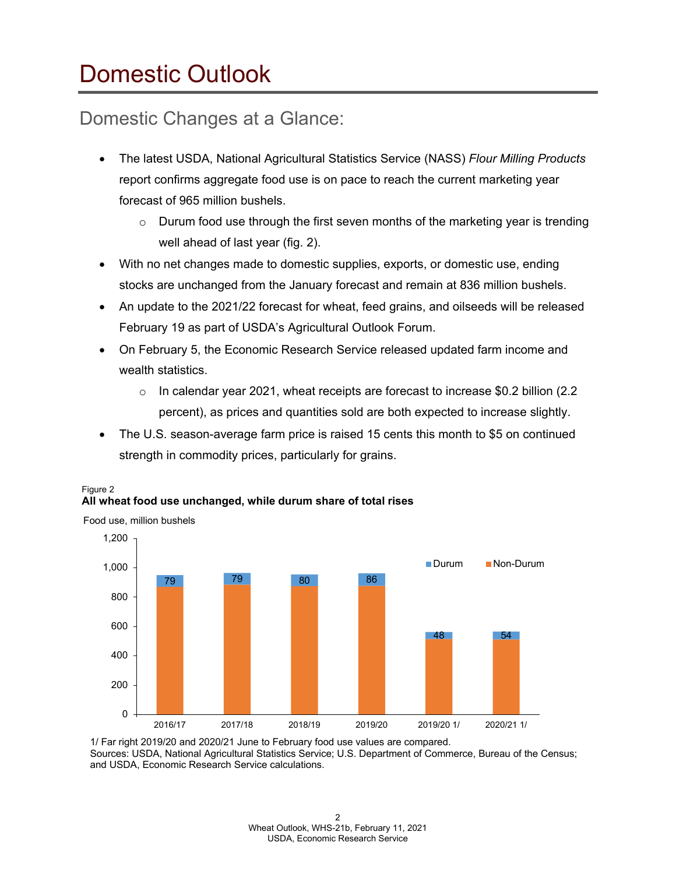# <span id="page-1-0"></span>Domestic Outlook

### Domestic Changes at a Glance:

- The latest USDA, National Agricultural Statistics Service (NASS) *Flour Milling Products* report confirms aggregate food use is on pace to reach the current marketing year forecast of 965 million bushels.
	- $\circ$  Durum food use through the first seven months of the marketing year is trending well ahead of last year (fig. 2).
- With no net changes made to domestic supplies, exports, or domestic use, ending stocks are unchanged from the January forecast and remain at 836 million bushels.
- An update to the 2021/22 forecast for wheat, feed grains, and oilseeds will be released February 19 as part of USDA's Agricultural Outlook Forum.
- On February 5, the Economic Research Service released updated farm income and wealth statistics.
	- $\circ$  In calendar year 2021, wheat receipts are forecast to increase \$0.2 billion (2.2) percent), as prices and quantities sold are both expected to increase slightly.
- The U.S. season-average farm price is raised 15 cents this month to \$5 on continued strength in commodity prices, particularly for grains.



#### Figure 2 **All wheat food use unchanged, while durum share of total rises**

1/ Far right 2019/20 and 2020/21 June to February food use values are compared. Sources: USDA, National Agricultural Statistics Service; U.S. Department of Commerce, Bureau of the Census; and USDA, Economic Research Service calculations.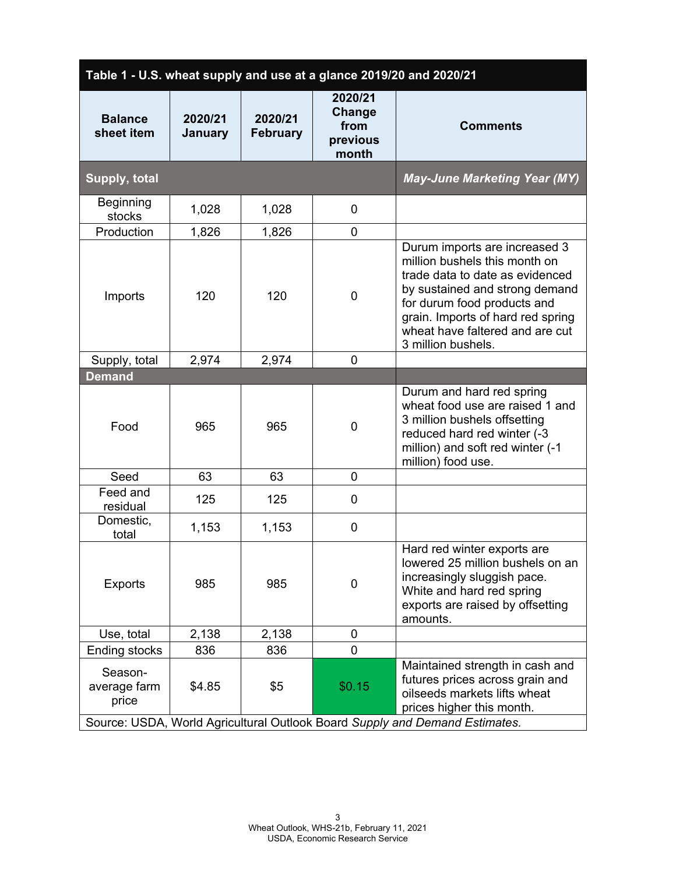| Table 1 - U.S. wheat supply and use at a glance 2019/20 and 2020/21         |                    |                            |                                                |                                                                                                                                                                                                                                                                  |
|-----------------------------------------------------------------------------|--------------------|----------------------------|------------------------------------------------|------------------------------------------------------------------------------------------------------------------------------------------------------------------------------------------------------------------------------------------------------------------|
| <b>Balance</b><br>sheet item                                                | 2020/21<br>January | 2020/21<br><b>February</b> | 2020/21<br>Change<br>from<br>previous<br>month | <b>Comments</b>                                                                                                                                                                                                                                                  |
| Supply, total                                                               |                    |                            |                                                | <b>May-June Marketing Year (MY)</b>                                                                                                                                                                                                                              |
| Beginning<br>stocks                                                         | 1,028              | 1,028                      | 0                                              |                                                                                                                                                                                                                                                                  |
| Production                                                                  | 1,826              | 1,826                      | 0                                              |                                                                                                                                                                                                                                                                  |
| Imports                                                                     | 120                | 120                        | $\overline{0}$                                 | Durum imports are increased 3<br>million bushels this month on<br>trade data to date as evidenced<br>by sustained and strong demand<br>for durum food products and<br>grain. Imports of hard red spring<br>wheat have faltered and are cut<br>3 million bushels. |
| Supply, total                                                               | 2,974              | 2,974                      | $\overline{0}$                                 |                                                                                                                                                                                                                                                                  |
| <b>Demand</b>                                                               |                    |                            |                                                |                                                                                                                                                                                                                                                                  |
| Food                                                                        | 965                | 965                        | $\overline{0}$                                 | Durum and hard red spring<br>wheat food use are raised 1 and<br>3 million bushels offsetting<br>reduced hard red winter (-3<br>million) and soft red winter (-1<br>million) food use.                                                                            |
| Seed                                                                        | 63                 | 63                         | $\overline{0}$                                 |                                                                                                                                                                                                                                                                  |
| Feed and<br>residual                                                        | 125                | 125                        | 0                                              |                                                                                                                                                                                                                                                                  |
| Domestic,<br>total                                                          | 1,153              | 1,153                      | 0                                              |                                                                                                                                                                                                                                                                  |
| <b>Exports</b>                                                              | 985                | 985                        | 0                                              | Hard red winter exports are<br>lowered 25 million bushels on an<br>increasingly sluggish pace.<br>White and hard red spring<br>exports are raised by offsetting<br>amounts.                                                                                      |
| Use, total                                                                  | 2,138              | 2,138                      | 0                                              |                                                                                                                                                                                                                                                                  |
| Ending stocks                                                               | 836                | 836                        | 0                                              |                                                                                                                                                                                                                                                                  |
| Season-<br>average farm<br>price                                            | \$4.85             | \$5                        | \$0.15                                         | Maintained strength in cash and<br>futures prices across grain and<br>oilseeds markets lifts wheat<br>prices higher this month.                                                                                                                                  |
| Source: USDA, World Agricultural Outlook Board Supply and Demand Estimates. |                    |                            |                                                |                                                                                                                                                                                                                                                                  |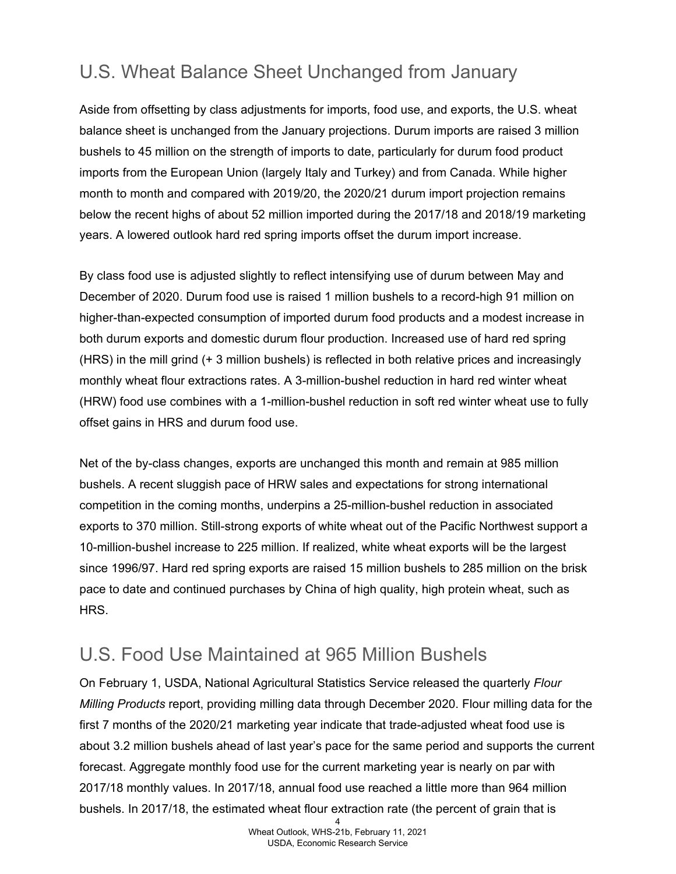## U.S. Wheat Balance Sheet Unchanged from January

Aside from offsetting by class adjustments for imports, food use, and exports, the U.S. wheat balance sheet is unchanged from the January projections. Durum imports are raised 3 million bushels to 45 million on the strength of imports to date, particularly for durum food product imports from the European Union (largely Italy and Turkey) and from Canada. While higher month to month and compared with 2019/20, the 2020/21 durum import projection remains below the recent highs of about 52 million imported during the 2017/18 and 2018/19 marketing years. A lowered outlook hard red spring imports offset the durum import increase.

By class food use is adjusted slightly to reflect intensifying use of durum between May and December of 2020. Durum food use is raised 1 million bushels to a record-high 91 million on higher-than-expected consumption of imported durum food products and a modest increase in both durum exports and domestic durum flour production. Increased use of hard red spring (HRS) in the mill grind (+ 3 million bushels) is reflected in both relative prices and increasingly monthly wheat flour extractions rates. A 3-million-bushel reduction in hard red winter wheat (HRW) food use combines with a 1-million-bushel reduction in soft red winter wheat use to fully offset gains in HRS and durum food use.

Net of the by-class changes, exports are unchanged this month and remain at 985 million bushels. A recent sluggish pace of HRW sales and expectations for strong international competition in the coming months, underpins a 25-million-bushel reduction in associated exports to 370 million. Still-strong exports of white wheat out of the Pacific Northwest support a 10-million-bushel increase to 225 million. If realized, white wheat exports will be the largest since 1996/97. Hard red spring exports are raised 15 million bushels to 285 million on the brisk pace to date and continued purchases by China of high quality, high protein wheat, such as HRS.

#### U.S. Food Use Maintained at 965 Million Bushels

On February 1, USDA, National Agricultural Statistics Service released the quarterly *Flour Milling Products* report, providing milling data through December 2020. Flour milling data for the first 7 months of the 2020/21 marketing year indicate that trade-adjusted wheat food use is about 3.2 million bushels ahead of last year's pace for the same period and supports the current forecast. Aggregate monthly food use for the current marketing year is nearly on par with 2017/18 monthly values. In 2017/18, annual food use reached a little more than 964 million bushels. In 2017/18, the estimated wheat flour extraction rate (the percent of grain that is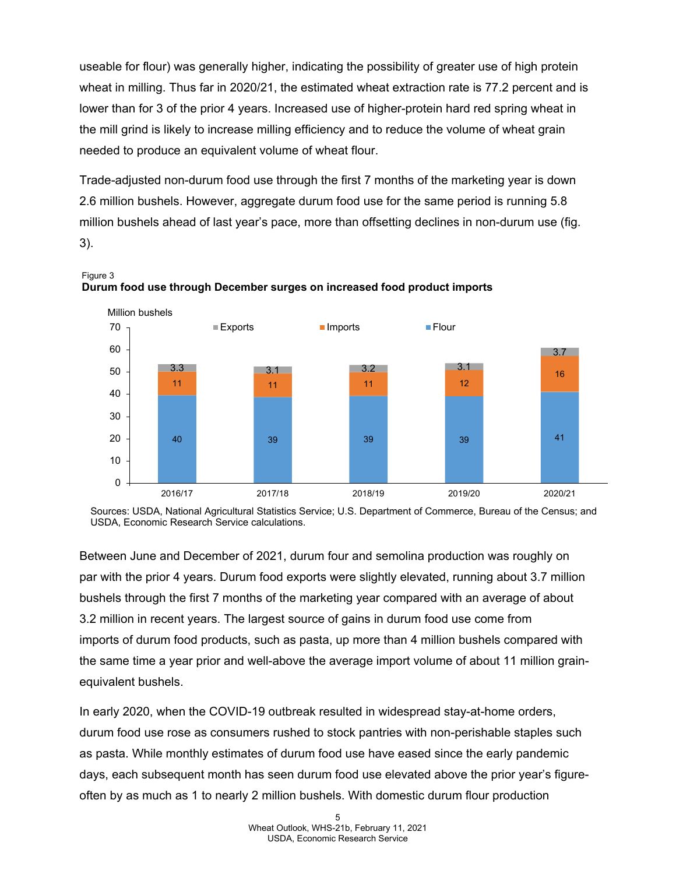useable for flour) was generally higher, indicating the possibility of greater use of high protein wheat in milling. Thus far in 2020/21, the estimated wheat extraction rate is 77.2 percent and is lower than for 3 of the prior 4 years. Increased use of higher-protein hard red spring wheat in the mill grind is likely to increase milling efficiency and to reduce the volume of wheat grain needed to produce an equivalent volume of wheat flour.

Trade-adjusted non-durum food use through the first 7 months of the marketing year is down 2.6 million bushels. However, aggregate durum food use for the same period is running 5.8 million bushels ahead of last year's pace, more than offsetting declines in non-durum use (fig. 3).





Sources: USDA, National Agricultural Statistics Service; U.S. Department of Commerce, Bureau of the Census; and USDA, Economic Research Service calculations.

Between June and December of 2021, durum four and semolina production was roughly on par with the prior 4 years. Durum food exports were slightly elevated, running about 3.7 million bushels through the first 7 months of the marketing year compared with an average of about 3.2 million in recent years. The largest source of gains in durum food use come from imports of durum food products, such as pasta, up more than 4 million bushels compared with the same time a year prior and well-above the average import volume of about 11 million grainequivalent bushels.

In early 2020, when the COVID-19 outbreak resulted in widespread stay-at-home orders, durum food use rose as consumers rushed to stock pantries with non-perishable staples such as pasta. While monthly estimates of durum food use have eased since the early pandemic days, each subsequent month has seen durum food use elevated above the prior year's figureoften by as much as 1 to nearly 2 million bushels. With domestic durum flour production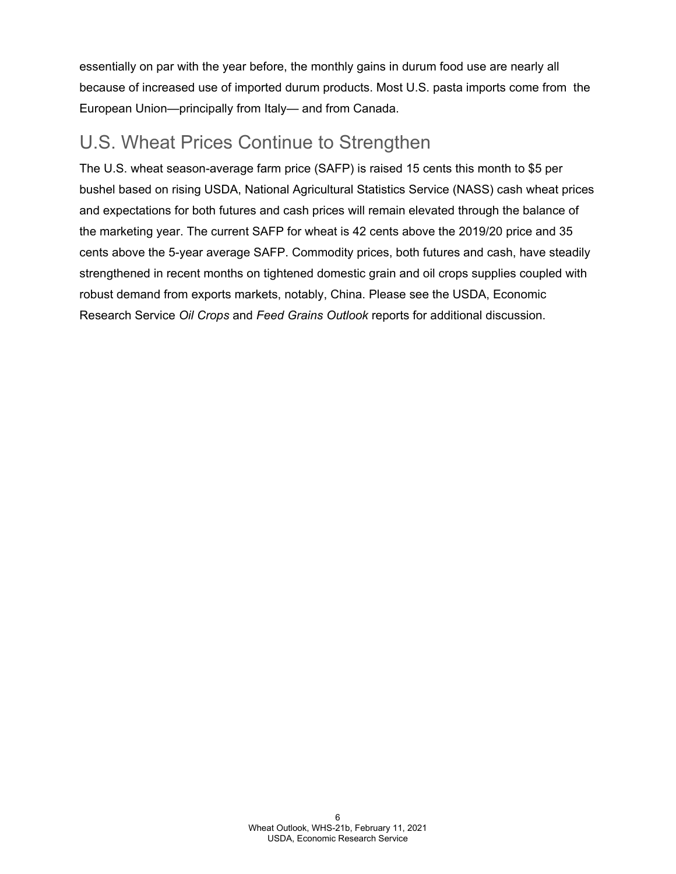essentially on par with the year before, the monthly gains in durum food use are nearly all because of increased use of imported durum products. Most U.S. pasta imports come from the European Union—principally from Italy— and from Canada.

### U.S. Wheat Prices Continue to Strengthen

The U.S. wheat season-average farm price (SAFP) is raised 15 cents this month to \$5 per bushel based on rising USDA, National Agricultural Statistics Service (NASS) cash wheat prices and expectations for both futures and cash prices will remain elevated through the balance of the marketing year. The current SAFP for wheat is 42 cents above the 2019/20 price and 35 cents above the 5-year average SAFP. Commodity prices, both futures and cash, have steadily strengthened in recent months on tightened domestic grain and oil crops supplies coupled with robust demand from exports markets, notably, China. Please see the USDA, Economic Research Service *Oil Crops* and *Feed Grains Outlook* reports for additional discussion.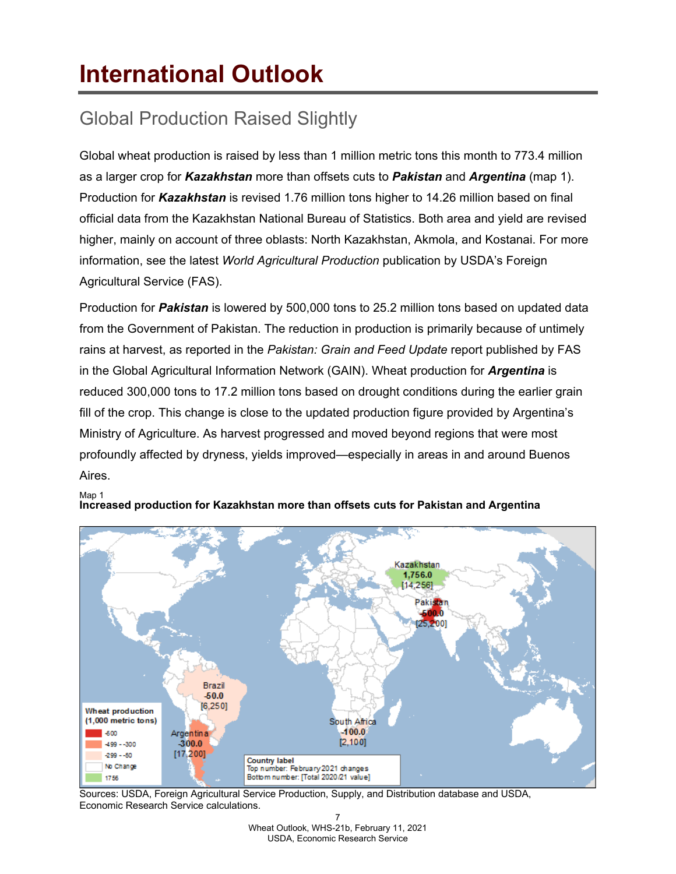# <span id="page-6-0"></span>**International Outlook**

## Global Production Raised Slightly

Global wheat production is raised by less than 1 million metric tons this month to 773.4 million as a larger crop for *Kazakhstan* more than offsets cuts to *Pakistan* and *Argentina* (map 1). Production for *Kazakhstan* is revised 1.76 million tons higher to 14.26 million based on final official data from the Kazakhstan National Bureau of Statistics. Both area and yield are revised higher, mainly on account of three oblasts: North Kazakhstan, Akmola, and Kostanai. For more information, see the latest *World Agricultural Production* publication by USDA's Foreign Agricultural Service (FAS).

Production for *Pakistan* is lowered by 500,000 tons to 25.2 million tons based on updated data from the Government of Pakistan. The reduction in production is primarily because of untimely rains at harvest, as reported in the *Pakistan: Grain and Feed Update* report published by FAS in the Global Agricultural Information Network (GAIN). Wheat production for *Argentina* is reduced 300,000 tons to 17.2 million tons based on drought conditions during the earlier grain fill of the crop. This change is close to the updated production figure provided by Argentina's Ministry of Agriculture. As harvest progressed and moved beyond regions that were most profoundly affected by dryness, yields improved—especially in areas in and around Buenos Aires.



#### Map 1 **Increased production for Kazakhstan more than offsets cuts for Pakistan and Argentina**

Sources: USDA, Foreign Agricultural Service Production, Supply, and Distribution database and USDA, Economic Research Service calculations.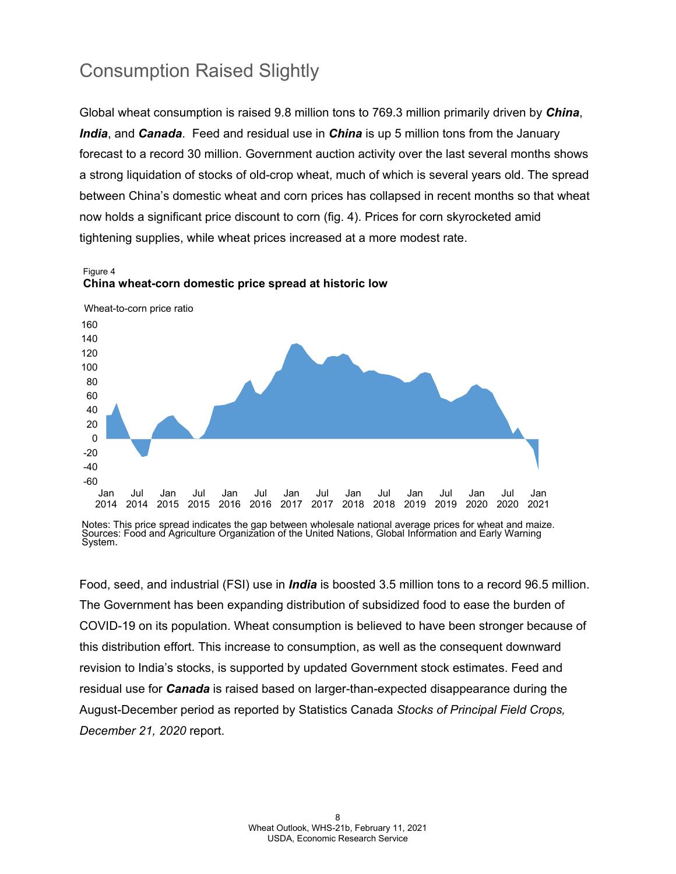### Consumption Raised Slightly

Global wheat consumption is raised 9.8 million tons to 769.3 million primarily driven by *China*, *India*, and *Canada*. Feed and residual use in *China* is up 5 million tons from the January forecast to a record 30 million. Government auction activity over the last several months shows a strong liquidation of stocks of old-crop wheat, much of which is several years old. The spread between China's domestic wheat and corn prices has collapsed in recent months so that wheat now holds a significant price discount to corn (fig. 4). Prices for corn skyrocketed amid tightening supplies, while wheat prices increased at a more modest rate.





Food, seed, and industrial (FSI) use in *India* is boosted 3.5 million tons to a record 96.5 million. The Government has been expanding distribution of subsidized food to ease the burden of COVID-19 on its population. Wheat consumption is believed to have been stronger because of this distribution effort. This increase to consumption, as well as the consequent downward revision to India's stocks, is supported by updated Government stock estimates. Feed and residual use for *Canada* is raised based on larger-than-expected disappearance during the August-December period as reported by Statistics Canada *Stocks of Principal Field Crops, December 21, 2020* report.

Notes: This price spread indicates the gap between wholesale national average prices for wheat and maize. Sources: Food and Agriculture Organization of the United Nations, Global Information and Early Warning System.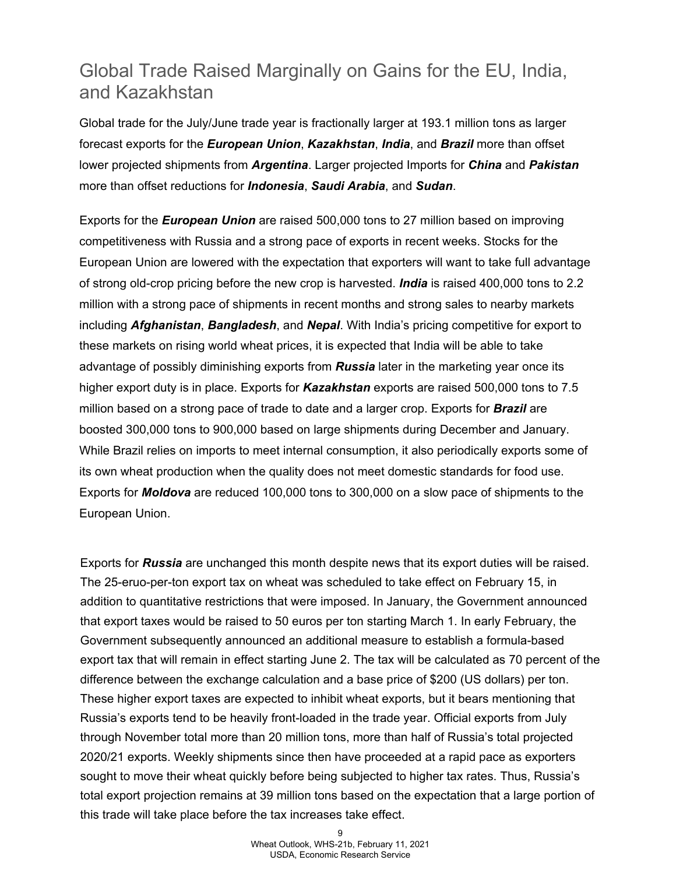### Global Trade Raised Marginally on Gains for the EU, India, and Kazakhstan

Global trade for the July/June trade year is fractionally larger at 193.1 million tons as larger forecast exports for the *European Union*, *Kazakhstan*, *India*, and *Brazil* more than offset lower projected shipments from *Argentina*. Larger projected Imports for *China* and *Pakistan* more than offset reductions for *Indonesia*, *Saudi Arabia*, and *Sudan*.

Exports for the *European Union* are raised 500,000 tons to 27 million based on improving competitiveness with Russia and a strong pace of exports in recent weeks. Stocks for the European Union are lowered with the expectation that exporters will want to take full advantage of strong old-crop pricing before the new crop is harvested. *India* is raised 400,000 tons to 2.2 million with a strong pace of shipments in recent months and strong sales to nearby markets including *Afghanistan*, *Bangladesh*, and *Nepal*. With India's pricing competitive for export to these markets on rising world wheat prices, it is expected that India will be able to take advantage of possibly diminishing exports from *Russia* later in the marketing year once its higher export duty is in place. Exports for *Kazakhstan* exports are raised 500,000 tons to 7.5 million based on a strong pace of trade to date and a larger crop. Exports for *Brazil* are boosted 300,000 tons to 900,000 based on large shipments during December and January. While Brazil relies on imports to meet internal consumption, it also periodically exports some of its own wheat production when the quality does not meet domestic standards for food use. Exports for *Moldova* are reduced 100,000 tons to 300,000 on a slow pace of shipments to the European Union.

Exports for *Russia* are unchanged this month despite news that its export duties will be raised. The 25-eruo-per-ton export tax on wheat was scheduled to take effect on February 15, in addition to quantitative restrictions that were imposed. In January, the Government announced that export taxes would be raised to 50 euros per ton starting March 1. In early February, the Government subsequently announced an additional measure to establish a formula-based export tax that will remain in effect starting June 2. The tax will be calculated as 70 percent of the difference between the exchange calculation and a base price of \$200 (US dollars) per ton. These higher export taxes are expected to inhibit wheat exports, but it bears mentioning that Russia's exports tend to be heavily front-loaded in the trade year. Official exports from July through November total more than 20 million tons, more than half of Russia's total projected 2020/21 exports. Weekly shipments since then have proceeded at a rapid pace as exporters sought to move their wheat quickly before being subjected to higher tax rates. Thus, Russia's total export projection remains at 39 million tons based on the expectation that a large portion of this trade will take place before the tax increases take effect.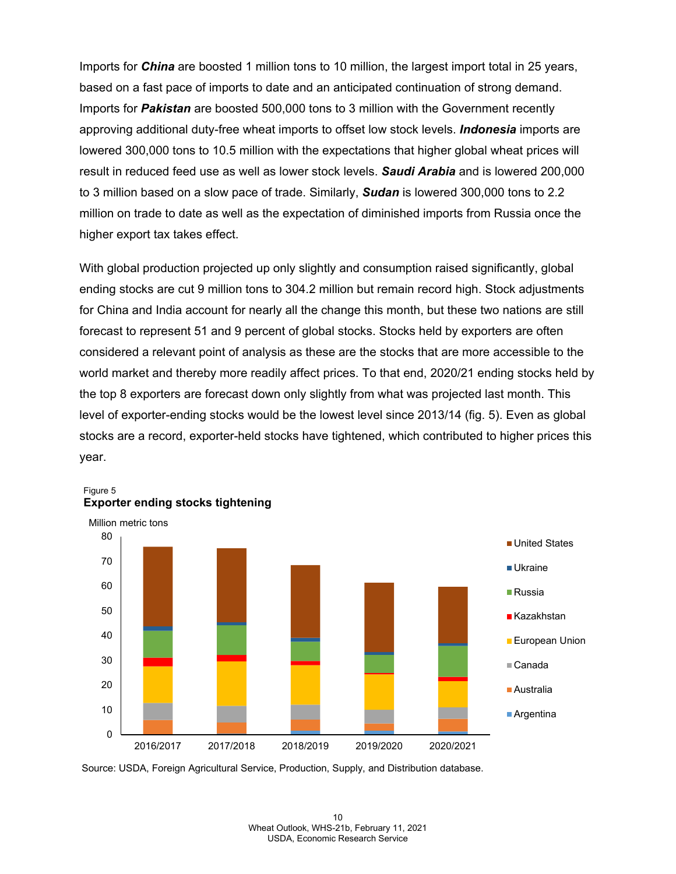Imports for *China* are boosted 1 million tons to 10 million, the largest import total in 25 years, based on a fast pace of imports to date and an anticipated continuation of strong demand. Imports for *Pakistan* are boosted 500,000 tons to 3 million with the Government recently approving additional duty-free wheat imports to offset low stock levels. *Indonesia* imports are lowered 300,000 tons to 10.5 million with the expectations that higher global wheat prices will result in reduced feed use as well as lower stock levels. *Saudi Arabia* and is lowered 200,000 to 3 million based on a slow pace of trade. Similarly, *Sudan* is lowered 300,000 tons to 2.2 million on trade to date as well as the expectation of diminished imports from Russia once the higher export tax takes effect.

With global production projected up only slightly and consumption raised significantly, global ending stocks are cut 9 million tons to 304.2 million but remain record high. Stock adjustments for China and India account for nearly all the change this month, but these two nations are still forecast to represent 51 and 9 percent of global stocks. Stocks held by exporters are often considered a relevant point of analysis as these are the stocks that are more accessible to the world market and thereby more readily affect prices. To that end, 2020/21 ending stocks held by the top 8 exporters are forecast down only slightly from what was projected last month. This level of exporter-ending stocks would be the lowest level since 2013/14 (fig. 5). Even as global stocks are a record, exporter-held stocks have tightened, which contributed to higher prices this year.



Figure 5 **Exporter ending stocks tightening**

Source: USDA, Foreign Agricultural Service, Production, Supply, and Distribution database.